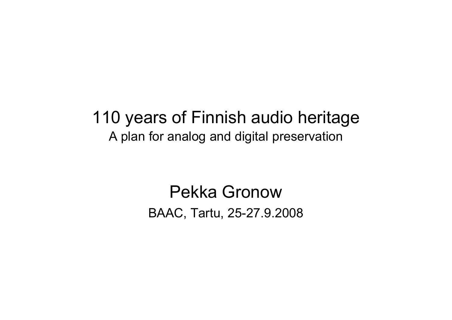#### 110 years of Finnish audio heritageA plan for analog and digital preservation

### Pekka GronowBAAC, Tartu, 25-27.9.2008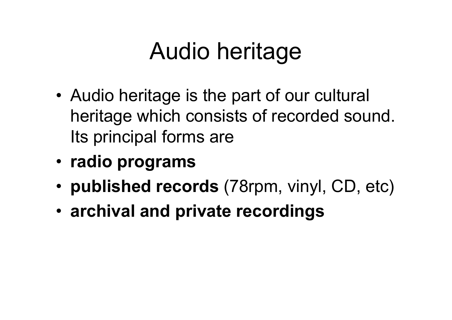## Audio heritage

- •Audio heritage is the part of our cultural heritage which consists of recorded sound. Its principal forms are
- **radio programs**
- **published records** (78rpm, vinyl, CD, etc)
- **archival and private recordings**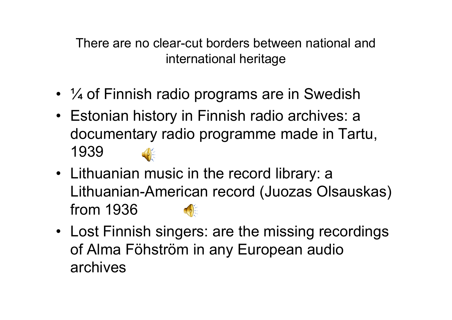There are no clear-cut borders between national and international heritage

- ¼ of Finnish radio programs are in Swedish
- Estonian history in Finnish radio archives: a documentary radio programme made in Tartu, 1939
- Lithuanian music in the record library: a<br>Lithuanian American record (Lussee Olo Lithuanian-American record (Juozas Olsauskas) from 1936
- Lost Finnish singers: are the missing recordings of Alma Föhström in any European audio archives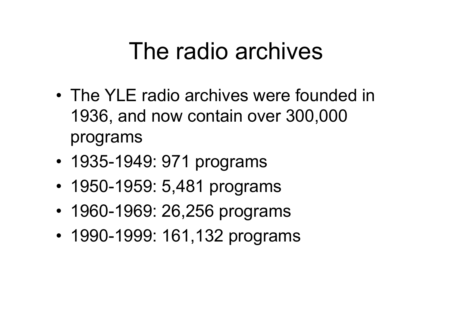## The radio archives

- •The YLE radio archives were founded in 1936, and now contain over 300,000 programs
- <sup>1935</sup>-1949: 971 programs
- 1950-1959: 5,481 programs
- 1960-1969: 26,256 programs
- 1990-1999: 161,132 programs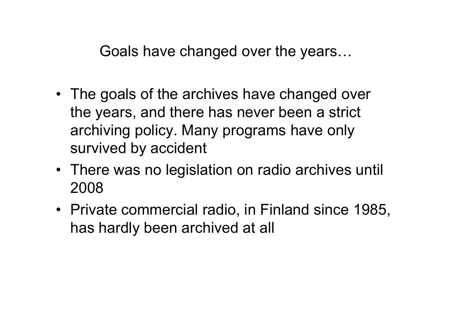Goals have changed over the years...

- The goals of the archives have changed over the years, and there has never been a strict archiving policy. Many programs have only survived by accident
- There was no legislation on radio archives until<br>2008 2008
- Private commercial radio, in Finland since 1985, has hardly been archived at all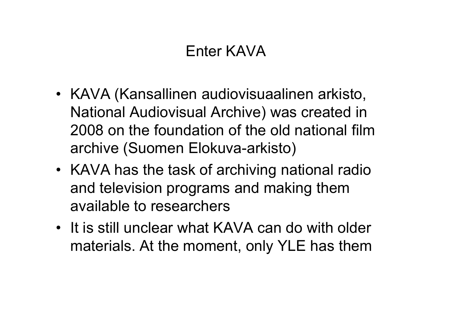#### Enter KAVA

- KAVA (Kansallinen audiovisuaalinen arkisto, National Audiovisual Archive) was created in 2008 on the foundation of the old national film archive (Suomen Elokuva-arkisto)
- KAVA has the task of archiving national radio and television programs and making them available to researchers
- It is still unclear what KAVA can do with older materials. At the moment, only YLE has them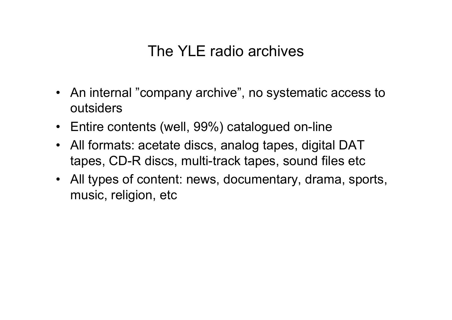#### The YLE radio archives

- An internal "company archive", no systematic access to outsiders
- Entire contents (well, 99%) catalogued on-line
- All formats: acetate discs, analog tapes, digital DAT<br>tance CD D disce multi track tones, cound files ate tapes, CD-R discs, multi-track tapes, sound files etc
- All types of content: news, documentary, drama, sports, music, religion, etc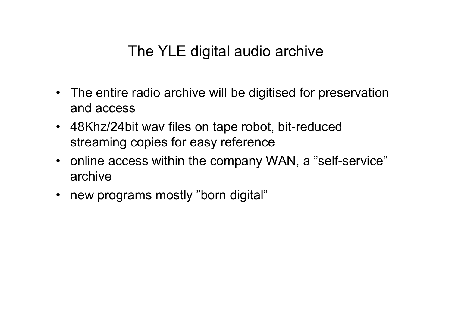#### The YLE digital audio archive

- The entire radio archive will be digitised for preservation and access
- 48Khz/24bit wav files on tape robot, bit-reduced streaming copies for easy reference
- online access within the company WAN, a "self-service" archive
- new programs mostly "born digital"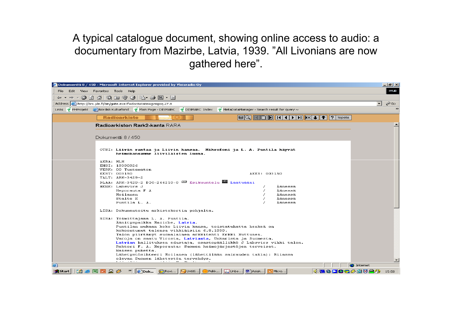A typical catalogue document, showing online access to audio: a documentary from Mazirbe, Latvia, 1939. "All Livonians are now gathered here".

|                                                                                                                                             | Dokumentti 8 / 450 - Microsoft Internet Explorer provided by Yleisradio Oy                                                                                                                                                                                                                                                                                                                                                                                                                                                                                                                    |   | <u> 대리지</u>              |
|---------------------------------------------------------------------------------------------------------------------------------------------|-----------------------------------------------------------------------------------------------------------------------------------------------------------------------------------------------------------------------------------------------------------------------------------------------------------------------------------------------------------------------------------------------------------------------------------------------------------------------------------------------------------------------------------------------------------------------------------------------|---|--------------------------|
| Edit View Favorites Tools Help<br>File -                                                                                                    |                                                                                                                                                                                                                                                                                                                                                                                                                                                                                                                                                                                               |   | <b>IYLEI</b>             |
| $\Leftrightarrow$ $\rightarrow$ $\rightarrow$ $\sim$                                                                                        | 00 4 6 6 7 6 6 5 6 7 5                                                                                                                                                                                                                                                                                                                                                                                                                                                                                                                                                                        |   |                          |
| Address et http://brs.yle.fi/bin/gate.exe?f=doc&state=gvegog.27.8                                                                           |                                                                                                                                                                                                                                                                                                                                                                                                                                                                                                                                                                                               | ▾ | ⊘°Go                     |
| $\rightarrow$<br>Links 9 PHProjekt @ Nordisk Kulturfond 9 Main Page - DISMARC 9 DISMARC Index 9 MetaDataManager - Search result for query ~ |                                                                                                                                                                                                                                                                                                                                                                                                                                                                                                                                                                                               |   |                          |
|                                                                                                                                             | <b>Radioarkisto</b>                                                                                                                                                                                                                                                                                                                                                                                                                                                                                                                                                                           |   |                          |
|                                                                                                                                             | Radioarkiston Rark2-kanta RARA                                                                                                                                                                                                                                                                                                                                                                                                                                                                                                                                                                |   |                          |
| Dokumentti 8/450                                                                                                                            |                                                                                                                                                                                                                                                                                                                                                                                                                                                                                                                                                                                               |   |                          |
|                                                                                                                                             | OTSI: Liivin rantaa ja Liivin kansaa. Mikrofoni ja L. A. Puntila käyvät<br>heimokansamme liiviläisten luona.                                                                                                                                                                                                                                                                                                                                                                                                                                                                                  |   |                          |
| AKBA: MLH<br>KEST: 003150                                                                                                                   | ENSI: 19390926<br>VERK: 00 Tuntematon<br>AKES: 003150<br>TALT: ARK-3429-2<br>DLAA: ARK-3429-2 DIG-266210-0 SEsikuuntelu 8 Laatuääni<br>HENK: Labsvirs J<br>Äänessä<br>Äänessä<br>Heporauta F A<br>Äänessä<br>Moilanen<br>Äänessä<br>Stalte K                                                                                                                                                                                                                                                                                                                                                  |   |                          |
|                                                                                                                                             | Äänessä<br>Puntila L. A.<br>LISA: Dokumentoitu arkistokortin pohjalta.                                                                                                                                                                                                                                                                                                                                                                                                                                                                                                                        |   |                          |
|                                                                                                                                             | SISA: Toimittajana L. A. Puntila.<br>Äänityspaikka Mazirbe, Latvia.<br>Puntilan mukaan koko Liivin kansa, toistatuhatta henkeä on<br>kokoontunut talonsa vihkiäisiin 6.8.1939.<br>Talon piirtänyt suomalainen arkkitehti Erkki Huttunen.<br>Varoja on saatu Virosta, Latviasta, Unkarista ja Suomesta.<br>Latvian hallituksen edustaja, osastopäällikkö J Labsvirs vihki talon.<br>Rehtori F. A. Heporauta: Suomen heimojärjestöjen terveiset.<br>Naisen puhetta.<br>Lähetystösihteeri Moilanen (lähettilään sairauden takia): Riiassa<br>olevan Suomen lähetystön tervehdys.<br>.<br>$\cdot$ |   | $\overline{\phantom{0}}$ |
| 画<br><b>O</b> Internet                                                                                                                      |                                                                                                                                                                                                                                                                                                                                                                                                                                                                                                                                                                                               |   |                          |
| <b>B</b> Start<br><b>R</b>                                                                                                                  | 4.88DOG#0024<br><sup>»</sup>    ipok GRoxi<br><b>Suntitl</b> (iii) Pekk<br><b>D</b> Unbe 图 Asiak B Micro                                                                                                                                                                                                                                                                                                                                                                                                                                                                                      |   | 15:58                    |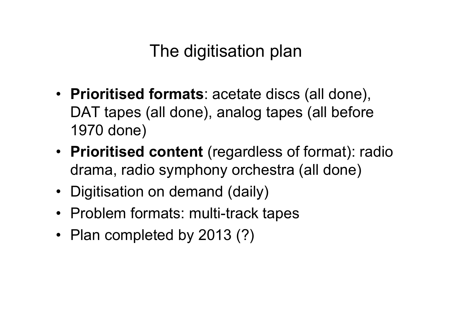## The digitisation plan

- **Prioritised formats**: acetate discs (all done), DAT tapes (all done), analog tapes (all before 1970 done)
- **Prioritised content** (regardless of format): radio drama, radio symphony orchestra (all done)
- Digitisation on demand (daily)
- Problem formats: multi-track tapes
- Plan completed by 2013 (?)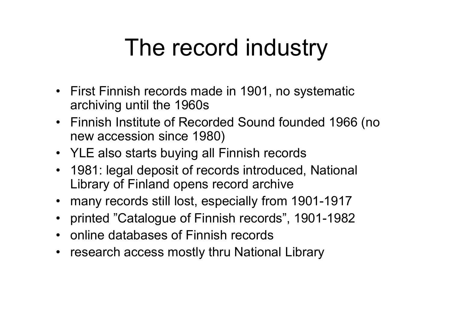# The record industry

- First Finnish records made in 1901, no systematic<br>exchiving until the 1960s archiving until the 1960s
- Finnish Institute of Recorded Sound founded 1966 (no<br>now accossion since 1980) new accession since 1980)
- YLE also starts buying all Finnish records
- 1981: legal deposit of records introduced, National<br>Library of Finland enens record archive Library of Finland opens record archive
- many records still lost, especially from 1901-1917
- printed "Catalogue of Finnish records", 1901-1982
- online databases of Finnish records
- research access mostly thru National Library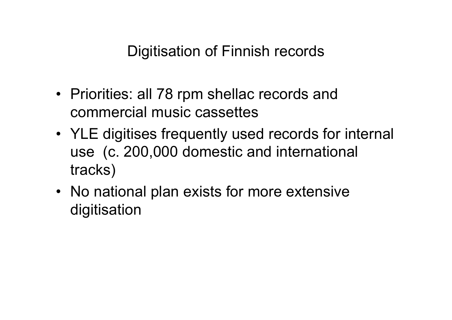Digitisation of Finnish records

- Priorities: all 78 rpm shellac records and commercial music cassettes
- YLE digitises frequently used records for internal use (c. 200,000 domestic and international tracks)
- No national plan exists for more extensive<br>disitiaation digitisation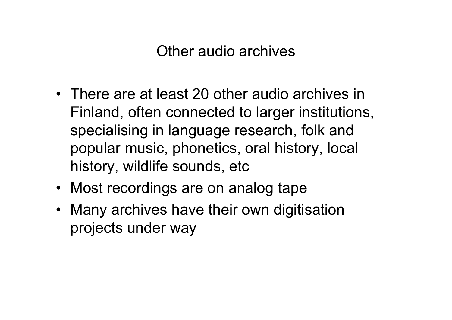Other audio archives

- There are at least 20 other audio archives in<br>Circle advantagement of the larger institutions Finland, often connected to larger institutions, specialising in language research, folk and popular music, phonetics, oral history, local history, wildlife sounds, etc
- Most recordings are on analog tape
- Many archives have their own digitisation projects under way